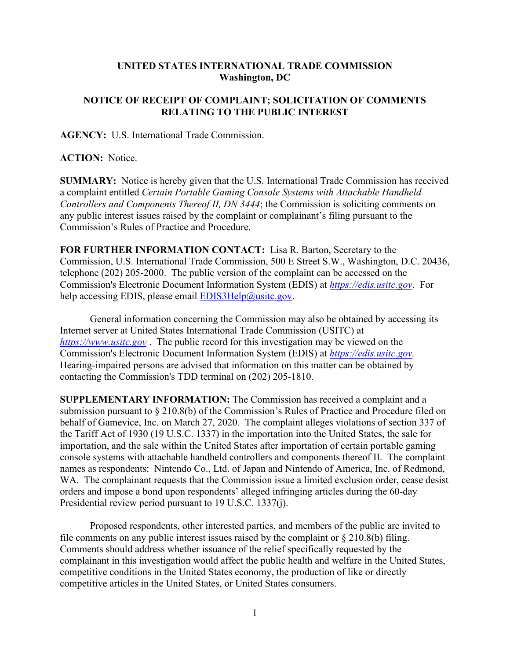## **UNITED STATES INTERNATIONAL TRADE COMMISSION Washington, DC**

## **NOTICE OF RECEIPT OF COMPLAINT; SOLICITATION OF COMMENTS RELATING TO THE PUBLIC INTEREST**

**AGENCY:** U.S. International Trade Commission.

**ACTION:** Notice.

**SUMMARY:** Notice is hereby given that the U.S. International Trade Commission has received a complaint entitled *Certain Portable Gaming Console Systems with Attachable Handheld Controllers and Components Thereof II, DN 3444*; the Commission is soliciting comments on any public interest issues raised by the complaint or complainant's filing pursuant to the Commission's Rules of Practice and Procedure.

**FOR FURTHER INFORMATION CONTACT:** Lisa R. Barton, Secretary to the Commission, U.S. International Trade Commission, 500 E Street S.W., Washington, D.C. 20436, telephone (202) 205-2000. The public version of the complaint can be accessed on the Commission's Electronic Document Information System (EDIS) at *[https://edis.usitc.gov](https://edis.usitc.gov/)*. For help accessing EDIS, please email  $EDIS3Help@usite.gov$ .

General information concerning the Commission may also be obtained by accessing its Internet server at United States International Trade Commission (USITC) at *[https://www.usitc.gov](https://www.usitc.gov/)* . The public record for this investigation may be viewed on the Commission's Electronic Document Information System (EDIS) at *[https://edis.usitc.gov.](https://edis.usitc.gov/)* Hearing-impaired persons are advised that information on this matter can be obtained by contacting the Commission's TDD terminal on (202) 205-1810.

**SUPPLEMENTARY INFORMATION:** The Commission has received a complaint and a submission pursuant to § 210.8(b) of the Commission's Rules of Practice and Procedure filed on behalf of Gamevice, Inc. on March 27, 2020. The complaint alleges violations of section 337 of the Tariff Act of 1930 (19 U.S.C. 1337) in the importation into the United States, the sale for importation, and the sale within the United States after importation of certain portable gaming console systems with attachable handheld controllers and components thereof II. The complaint names as respondents: Nintendo Co., Ltd. of Japan and Nintendo of America, Inc. of Redmond, WA. The complainant requests that the Commission issue a limited exclusion order, cease desist orders and impose a bond upon respondents' alleged infringing articles during the 60-day Presidential review period pursuant to 19 U.S.C. 1337(j).

Proposed respondents, other interested parties, and members of the public are invited to file comments on any public interest issues raised by the complaint or  $\S 210.8(b)$  filing. Comments should address whether issuance of the relief specifically requested by the complainant in this investigation would affect the public health and welfare in the United States, competitive conditions in the United States economy, the production of like or directly competitive articles in the United States, or United States consumers.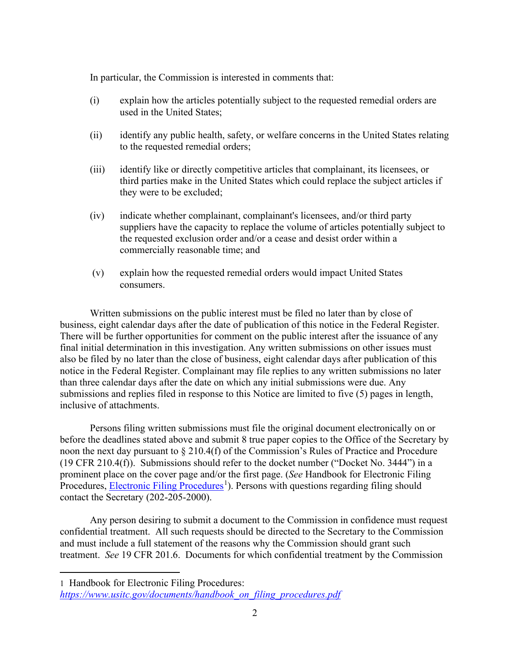In particular, the Commission is interested in comments that:

- (i) explain how the articles potentially subject to the requested remedial orders are used in the United States;
- (ii) identify any public health, safety, or welfare concerns in the United States relating to the requested remedial orders;
- (iii) identify like or directly competitive articles that complainant, its licensees, or third parties make in the United States which could replace the subject articles if they were to be excluded;
- (iv) indicate whether complainant, complainant's licensees, and/or third party suppliers have the capacity to replace the volume of articles potentially subject to the requested exclusion order and/or a cease and desist order within a commercially reasonable time; and
- (v) explain how the requested remedial orders would impact United States consumers.

Written submissions on the public interest must be filed no later than by close of business, eight calendar days after the date of publication of this notice in the Federal Register. There will be further opportunities for comment on the public interest after the issuance of any final initial determination in this investigation. Any written submissions on other issues must also be filed by no later than the close of business, eight calendar days after publication of this notice in the Federal Register. Complainant may file replies to any written submissions no later than three calendar days after the date on which any initial submissions were due. Any submissions and replies filed in response to this Notice are limited to five (5) pages in length, inclusive of attachments.

Persons filing written submissions must file the original document electronically on or before the deadlines stated above and submit 8 true paper copies to the Office of the Secretary by noon the next day pursuant to § 210.4(f) of the Commission's Rules of Practice and Procedure (19 CFR 210.4(f)). Submissions should refer to the docket number ("Docket No. 3444") in a prominent place on the cover page and/or the first page. (*See* Handbook for Electronic Filing Procedures, *Electronic Filing Procedures*<sup>[1](#page-1-0)</sup>). Persons with questions regarding filing should contact the Secretary (202-205-2000).

Any person desiring to submit a document to the Commission in confidence must request confidential treatment. All such requests should be directed to the Secretary to the Commission and must include a full statement of the reasons why the Commission should grant such treatment. *See* 19 CFR 201.6. Documents for which confidential treatment by the Commission

<span id="page-1-0"></span><sup>1</sup> Handbook for Electronic Filing Procedures:

*[https://www.usitc.gov/documents/handbook\\_on\\_filing\\_procedures.pdf](https://www.usitc.gov/documents/handbook_on_filing_procedures.pdf)*